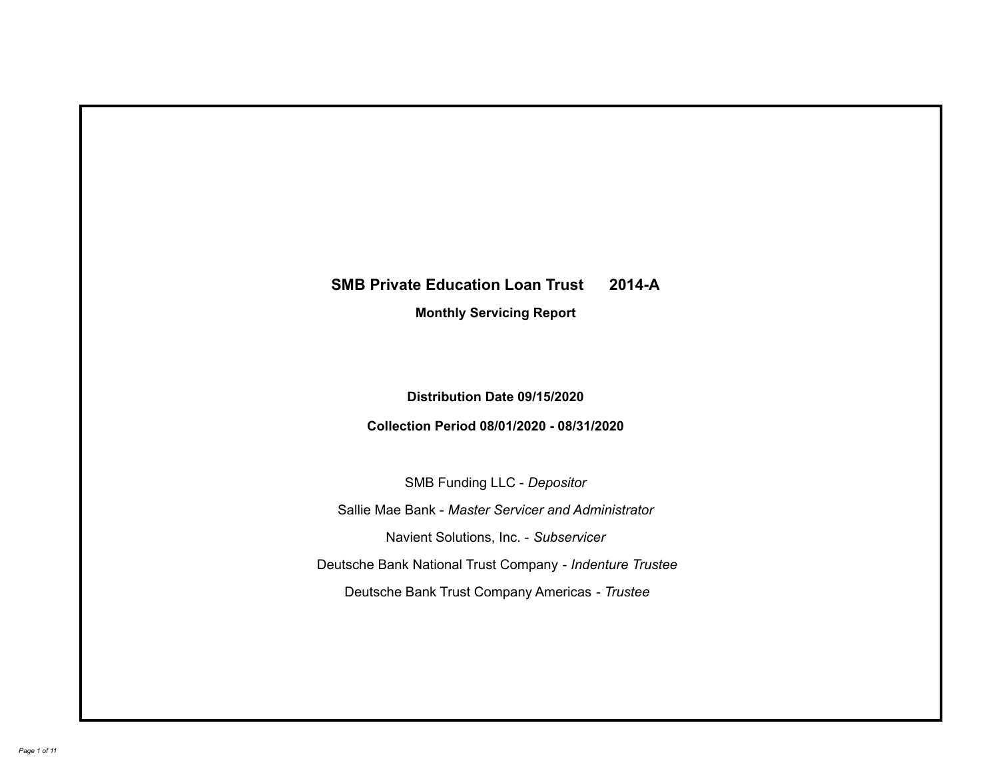# **SMB Private Education Loan Trust 2014-A Monthly Servicing Report**

# **Distribution Date 09/15/2020**

## **Collection Period 08/01/2020 - 08/31/2020**

SMB Funding LLC - *Depositor*

Sallie Mae Bank - *Master Servicer and Administrator*

Navient Solutions, Inc. - *Subservicer*

Deutsche Bank National Trust Company - *Indenture Trustee*

Deutsche Bank Trust Company Americas - *Trustee*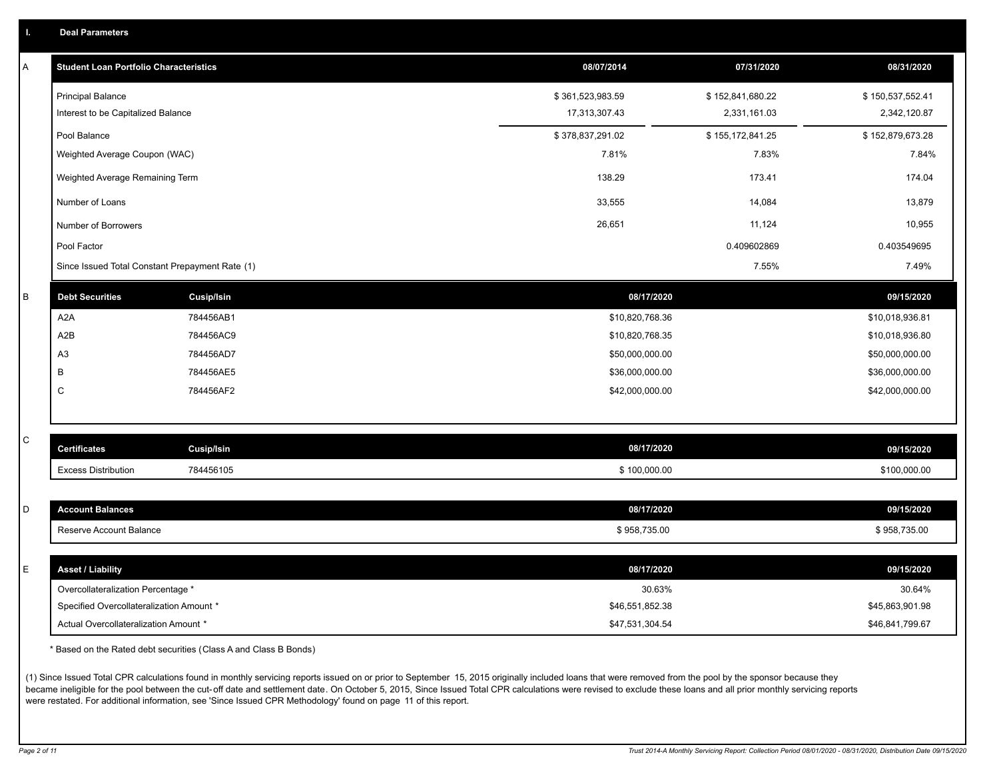|  | в. | <b>Deal Parameters</b> |  |
|--|----|------------------------|--|
|--|----|------------------------|--|

| Α       | <b>Student Loan Portfolio Characteristics</b>   |                   | 08/07/2014       | 07/31/2020       | 08/31/2020       |
|---------|-------------------------------------------------|-------------------|------------------|------------------|------------------|
|         | <b>Principal Balance</b>                        |                   | \$361,523,983.59 | \$152,841,680.22 | \$150,537,552.41 |
|         | Interest to be Capitalized Balance              |                   | 17,313,307.43    | 2,331,161.03     | 2,342,120.87     |
|         | Pool Balance                                    |                   | \$378,837,291.02 | \$155,172,841.25 | \$152,879,673.28 |
|         | Weighted Average Coupon (WAC)                   |                   | 7.81%            | 7.83%            | 7.84%            |
|         | Weighted Average Remaining Term                 |                   | 138.29           | 173.41           | 174.04           |
|         | Number of Loans                                 |                   | 33,555           | 14,084           | 13,879           |
|         | Number of Borrowers                             |                   | 26,651           | 11,124           | 10,955           |
|         | Pool Factor                                     |                   |                  | 0.409602869      | 0.403549695      |
|         | Since Issued Total Constant Prepayment Rate (1) |                   |                  | 7.55%            | 7.49%            |
| $\sf B$ | <b>Debt Securities</b>                          | <b>Cusip/Isin</b> | 08/17/2020       |                  | 09/15/2020       |
|         | A <sub>2</sub> A                                | 784456AB1         | \$10,820,768.36  |                  | \$10,018,936.81  |
|         | A <sub>2</sub> B                                | 784456AC9         | \$10,820,768.35  |                  | \$10,018,936.80  |
|         | A3                                              | 784456AD7         | \$50,000,000.00  |                  | \$50,000,000.00  |
|         | В                                               | 784456AE5         | \$36,000,000.00  |                  | \$36,000,000.00  |
|         | C                                               | 784456AF2         | \$42,000,000.00  |                  | \$42,000,000.00  |
|         |                                                 |                   |                  |                  |                  |
| C       | <b>Certificates</b>                             | <b>Cusip/Isin</b> | 08/17/2020       |                  | 09/15/2020       |
|         | <b>Excess Distribution</b>                      | 784456105         | \$100,000.00     |                  | \$100,000.00     |
|         |                                                 |                   |                  |                  |                  |
| D       | <b>Account Balances</b>                         |                   | 08/17/2020       |                  | 09/15/2020       |
|         | Reserve Account Balance                         |                   | \$958,735.00     |                  | \$958,735.00     |
|         |                                                 |                   |                  |                  |                  |
| E       | <b>Asset / Liability</b>                        |                   | 08/17/2020       |                  | 09/15/2020       |
|         | Overcollateralization Percentage *              |                   | 30.63%           |                  | 30.64%           |
|         | Specified Overcollateralization Amount *        |                   | \$46,551,852.38  |                  | \$45,863,901.98  |
|         | Actual Overcollateralization Amount *           |                   | \$47,531,304.54  |                  | \$46,841,799.67  |

\* Based on the Rated debt securities (Class A and Class B Bonds)

(1) Since Issued Total CPR calculations found in monthly servicing reports issued on or prior to September 15, 2015 originally included loans that were removed from the pool by the sponsor because they became ineligible for the pool between the cut-off date and settlement date. On October 5, 2015, Since Issued Total CPR calculations were revised to exclude these loans and all prior monthly servicing reports were restated. For additional information, see 'Since Issued CPR Methodology' found on page 11 of this report.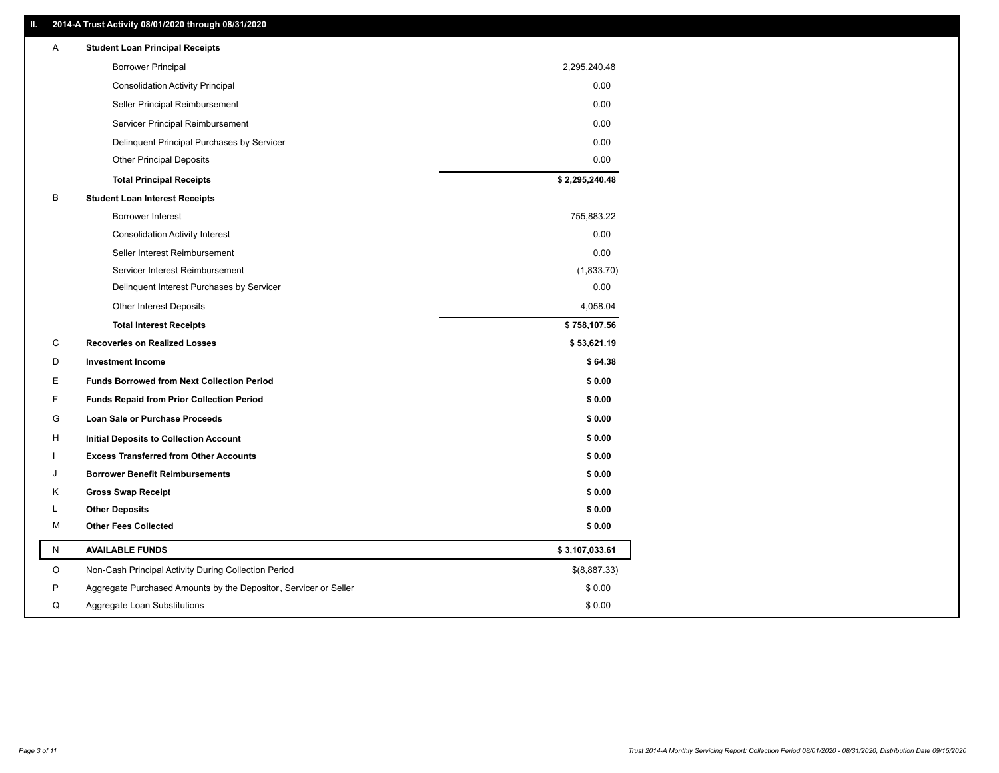### **II. 2014-A Trust Activity 08/01/2020 through 08/31/2020**

| Α           | <b>Student Loan Principal Receipts</b>                           |                |
|-------------|------------------------------------------------------------------|----------------|
|             | <b>Borrower Principal</b>                                        | 2,295,240.48   |
|             | <b>Consolidation Activity Principal</b>                          | 0.00           |
|             | Seller Principal Reimbursement                                   | 0.00           |
|             | Servicer Principal Reimbursement                                 | 0.00           |
|             | Delinquent Principal Purchases by Servicer                       | 0.00           |
|             | <b>Other Principal Deposits</b>                                  | 0.00           |
|             | <b>Total Principal Receipts</b>                                  | \$2,295,240.48 |
| B           | <b>Student Loan Interest Receipts</b>                            |                |
|             | Borrower Interest                                                | 755,883.22     |
|             | <b>Consolidation Activity Interest</b>                           | 0.00           |
|             | Seller Interest Reimbursement                                    | 0.00           |
|             | Servicer Interest Reimbursement                                  | (1,833.70)     |
|             | Delinquent Interest Purchases by Servicer                        | 0.00           |
|             | <b>Other Interest Deposits</b>                                   | 4,058.04       |
|             | <b>Total Interest Receipts</b>                                   | \$758,107.56   |
| C           | <b>Recoveries on Realized Losses</b>                             | \$53,621.19    |
| D           | <b>Investment Income</b>                                         | \$64.38        |
| Е           | <b>Funds Borrowed from Next Collection Period</b>                | \$0.00         |
| F           | <b>Funds Repaid from Prior Collection Period</b>                 | \$0.00         |
| G           | Loan Sale or Purchase Proceeds                                   | \$0.00         |
| н           | Initial Deposits to Collection Account                           | \$0.00         |
|             | <b>Excess Transferred from Other Accounts</b>                    | \$0.00         |
| J           | <b>Borrower Benefit Reimbursements</b>                           | \$0.00         |
| Κ           | <b>Gross Swap Receipt</b>                                        | \$0.00         |
| L           | <b>Other Deposits</b>                                            | \$0.00         |
| м           | <b>Other Fees Collected</b>                                      | \$0.00         |
| N           | <b>AVAILABLE FUNDS</b>                                           | \$3,107,033.61 |
| $\mathsf O$ | Non-Cash Principal Activity During Collection Period             | \$(8,887.33)   |
| P           | Aggregate Purchased Amounts by the Depositor, Servicer or Seller | \$0.00         |
| Q           | Aggregate Loan Substitutions                                     | \$0.00         |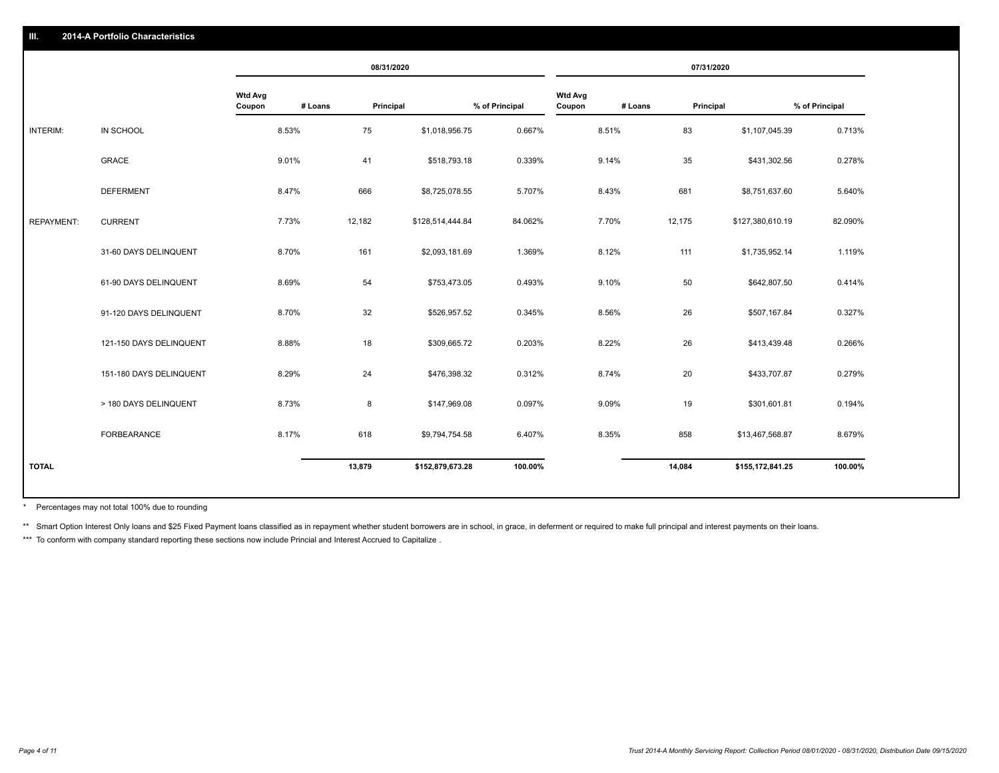|                   |                         |                          |         | 08/31/2020 |                  |                |                          |         | 07/31/2020 |                  |                |
|-------------------|-------------------------|--------------------------|---------|------------|------------------|----------------|--------------------------|---------|------------|------------------|----------------|
|                   |                         | <b>Wtd Avg</b><br>Coupon | # Loans | Principal  |                  | % of Principal | <b>Wtd Avg</b><br>Coupon | # Loans | Principal  |                  | % of Principal |
| INTERIM:          | IN SCHOOL               |                          | 8.53%   | 75         | \$1,018,956.75   | 0.667%         |                          | 8.51%   | 83         | \$1,107,045.39   | 0.713%         |
|                   | GRACE                   |                          | 9.01%   | 41         | \$518,793.18     | 0.339%         |                          | 9.14%   | 35         | \$431,302.56     | 0.278%         |
|                   | <b>DEFERMENT</b>        |                          | 8.47%   | 666        | \$8,725,078.55   | 5.707%         |                          | 8.43%   | 681        | \$8,751,637.60   | 5.640%         |
| <b>REPAYMENT:</b> | <b>CURRENT</b>          |                          | 7.73%   | 12,182     | \$128,514,444.84 | 84.062%        |                          | 7.70%   | 12,175     | \$127,380,610.19 | 82.090%        |
|                   | 31-60 DAYS DELINQUENT   |                          | 8.70%   | 161        | \$2,093,181.69   | 1.369%         |                          | 8.12%   | 111        | \$1,735,952.14   | 1.119%         |
|                   | 61-90 DAYS DELINQUENT   |                          | 8.69%   | 54         | \$753,473.05     | 0.493%         |                          | 9.10%   | 50         | \$642,807.50     | 0.414%         |
|                   | 91-120 DAYS DELINQUENT  |                          | 8.70%   | 32         | \$526,957.52     | 0.345%         |                          | 8.56%   | 26         | \$507,167.84     | 0.327%         |
|                   | 121-150 DAYS DELINQUENT |                          | 8.88%   | 18         | \$309,665.72     | 0.203%         |                          | 8.22%   | 26         | \$413,439.48     | 0.266%         |
|                   | 151-180 DAYS DELINQUENT |                          | 8.29%   | 24         | \$476,398.32     | 0.312%         |                          | 8.74%   | 20         | \$433,707.87     | 0.279%         |
|                   | > 180 DAYS DELINQUENT   |                          | 8.73%   | 8          | \$147,969.08     | 0.097%         |                          | 9.09%   | 19         | \$301,601.81     | 0.194%         |
|                   | <b>FORBEARANCE</b>      |                          | 8.17%   | 618        | \$9,794,754.58   | 6.407%         |                          | 8.35%   | 858        | \$13,467,568.87  | 8.679%         |
| <b>TOTAL</b>      |                         |                          |         | 13,879     | \$152,879,673.28 | 100.00%        |                          |         | 14,084     | \$155,172,841.25 | 100.00%        |
|                   |                         |                          |         |            |                  |                |                          |         |            |                  |                |

Percentages may not total 100% due to rounding \*

\*\* Smart Option Interest Only loans and \$25 Fixed Payment loans classified as in repayment whether student borrowers are in school, in grace, in deferment or required to make full principal and interest payments on their l

\*\*\* To conform with company standard reporting these sections now include Princial and Interest Accrued to Capitalize.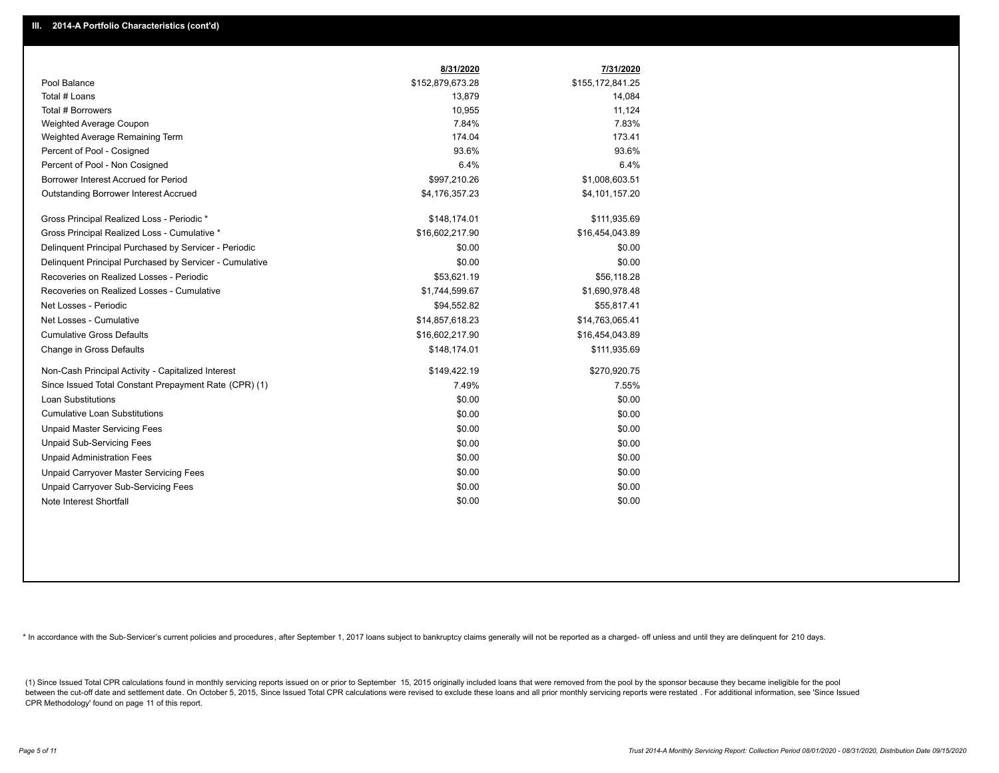|                                                         | 8/31/2020        | 7/31/2020        |
|---------------------------------------------------------|------------------|------------------|
| Pool Balance                                            | \$152,879,673.28 | \$155,172,841.25 |
| Total # Loans                                           | 13,879           | 14,084           |
| Total # Borrowers                                       | 10,955           | 11,124           |
| Weighted Average Coupon                                 | 7.84%            | 7.83%            |
| Weighted Average Remaining Term                         | 174.04           | 173.41           |
| Percent of Pool - Cosigned                              | 93.6%            | 93.6%            |
| Percent of Pool - Non Cosigned                          | 6.4%             | 6.4%             |
| Borrower Interest Accrued for Period                    | \$997,210.26     | \$1,008,603.51   |
| Outstanding Borrower Interest Accrued                   | \$4,176,357.23   | \$4,101,157.20   |
| Gross Principal Realized Loss - Periodic *              | \$148,174.01     | \$111,935.69     |
| Gross Principal Realized Loss - Cumulative *            | \$16,602,217.90  | \$16,454,043.89  |
| Delinquent Principal Purchased by Servicer - Periodic   | \$0.00           | \$0.00           |
| Delinguent Principal Purchased by Servicer - Cumulative | \$0.00           | \$0.00           |
| Recoveries on Realized Losses - Periodic                | \$53,621.19      | \$56.118.28      |
| Recoveries on Realized Losses - Cumulative              | \$1,744,599.67   | \$1,690,978.48   |
| Net Losses - Periodic                                   | \$94,552.82      | \$55,817.41      |
| Net Losses - Cumulative                                 | \$14,857,618.23  | \$14,763,065.41  |
| <b>Cumulative Gross Defaults</b>                        | \$16,602,217.90  | \$16,454,043.89  |
| Change in Gross Defaults                                | \$148,174.01     | \$111,935.69     |
| Non-Cash Principal Activity - Capitalized Interest      | \$149,422.19     | \$270,920.75     |
| Since Issued Total Constant Prepayment Rate (CPR) (1)   | 7.49%            | 7.55%            |
| <b>Loan Substitutions</b>                               | \$0.00           | \$0.00           |
| <b>Cumulative Loan Substitutions</b>                    | \$0.00           | \$0.00           |
| <b>Unpaid Master Servicing Fees</b>                     | \$0.00           | \$0.00           |
| <b>Unpaid Sub-Servicing Fees</b>                        | \$0.00           | \$0.00           |
| <b>Unpaid Administration Fees</b>                       | \$0.00           | \$0.00           |
| Unpaid Carryover Master Servicing Fees                  | \$0.00           | \$0.00           |
| Unpaid Carryover Sub-Servicing Fees                     | \$0.00           | \$0.00           |
| Note Interest Shortfall                                 | \$0.00           | \$0.00           |

\* In accordance with the Sub-Servicer's current policies and procedures, after September 1, 2017 loans subject to bankruptcy claims generally will not be reported as a charged- off unless and until they are delinquent for

(1) Since Issued Total CPR calculations found in monthly servicing reports issued on or prior to September 15, 2015 originally included loans that were removed from the pool by the sponsor because they became ineligible fo between the cut-off date and settlement date. On October 5, 2015, Since Issued Total CPR calculations were revised to exclude these loans and all prior monthly servicing reports were restated. For additional information, s CPR Methodology' found on page 11 of this report.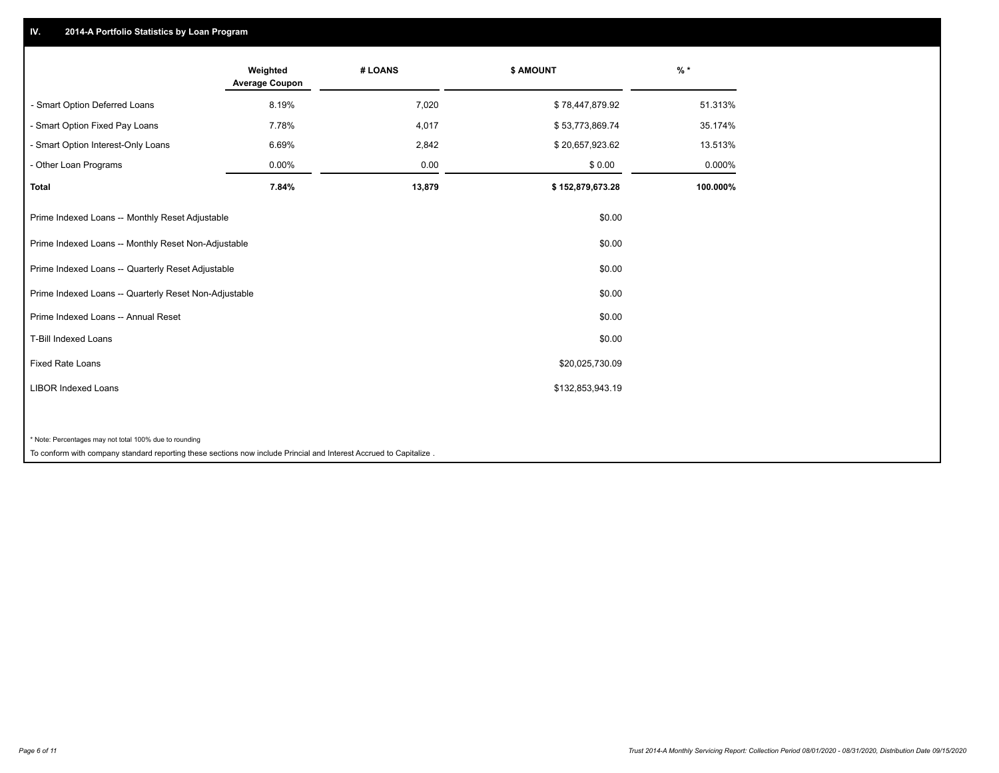## **IV. 2014-A Portfolio Statistics by Loan Program**

|                                                        | Weighted<br><b>Average Coupon</b> | # LOANS | <b>\$ AMOUNT</b> | $%$ *    |
|--------------------------------------------------------|-----------------------------------|---------|------------------|----------|
| - Smart Option Deferred Loans                          | 8.19%                             | 7,020   | \$78,447,879.92  | 51.313%  |
| - Smart Option Fixed Pay Loans                         | 7.78%                             | 4,017   | \$53,773,869.74  | 35.174%  |
| - Smart Option Interest-Only Loans                     | 6.69%                             | 2,842   | \$20,657,923.62  | 13.513%  |
| Other Loan Programs                                    | 0.00%                             | 0.00    | \$0.00           | 0.000%   |
| <b>Total</b>                                           | 7.84%                             | 13,879  | \$152,879,673.28 | 100.000% |
| Prime Indexed Loans -- Monthly Reset Adjustable        |                                   |         | \$0.00           |          |
| Prime Indexed Loans -- Monthly Reset Non-Adjustable    |                                   |         | \$0.00           |          |
| Prime Indexed Loans -- Quarterly Reset Adjustable      |                                   |         | \$0.00           |          |
| Prime Indexed Loans -- Quarterly Reset Non-Adjustable  |                                   |         | \$0.00           |          |
| Prime Indexed Loans -- Annual Reset                    |                                   |         | \$0.00           |          |
| <b>T-Bill Indexed Loans</b>                            |                                   |         | \$0.00           |          |
| <b>Fixed Rate Loans</b>                                |                                   |         | \$20,025,730.09  |          |
| <b>LIBOR Indexed Loans</b>                             |                                   |         | \$132,853,943.19 |          |
|                                                        |                                   |         |                  |          |
| * Note: Percentages may not total 100% due to rounding |                                   |         |                  |          |

To conform with company standard reporting these sections now include Princial and Interest Accrued to Capitalize .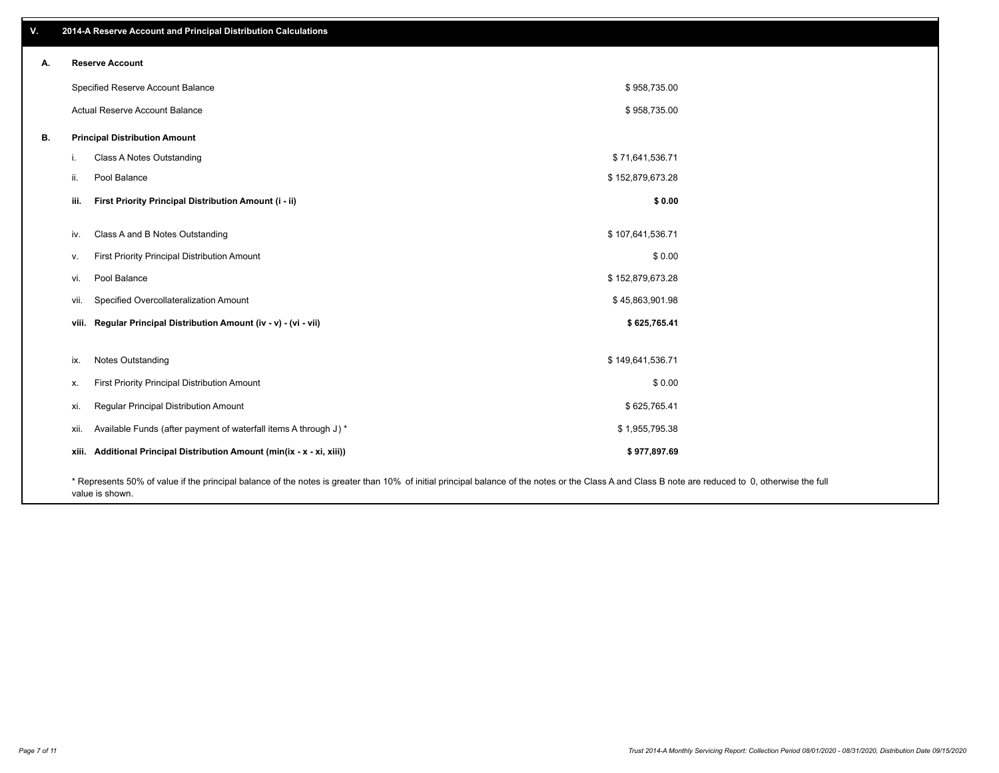| v. | 2014-A Reserve Account and Principal Distribution Calculations                                                                                                                                     |                  |  |
|----|----------------------------------------------------------------------------------------------------------------------------------------------------------------------------------------------------|------------------|--|
| А. | <b>Reserve Account</b>                                                                                                                                                                             |                  |  |
|    | Specified Reserve Account Balance                                                                                                                                                                  | \$958,735.00     |  |
|    | Actual Reserve Account Balance                                                                                                                                                                     | \$958,735.00     |  |
| В. | <b>Principal Distribution Amount</b>                                                                                                                                                               |                  |  |
|    | Class A Notes Outstanding<br>i.                                                                                                                                                                    | \$71,641,536.71  |  |
|    | Pool Balance<br>ii.                                                                                                                                                                                | \$152,879,673.28 |  |
|    | First Priority Principal Distribution Amount (i - ii)<br>iii.                                                                                                                                      | \$0.00           |  |
|    | Class A and B Notes Outstanding<br>iv.                                                                                                                                                             | \$107,641,536.71 |  |
|    | First Priority Principal Distribution Amount<br>v.                                                                                                                                                 | \$0.00           |  |
|    | Pool Balance<br>vi.                                                                                                                                                                                | \$152,879,673.28 |  |
|    | Specified Overcollateralization Amount<br>vii.                                                                                                                                                     | \$45,863,901.98  |  |
|    | viii. Regular Principal Distribution Amount (iv - v) - (vi - vii)                                                                                                                                  | \$625,765.41     |  |
|    |                                                                                                                                                                                                    |                  |  |
|    | Notes Outstanding<br>ix.                                                                                                                                                                           | \$149,641,536.71 |  |
|    | First Priority Principal Distribution Amount<br>х.                                                                                                                                                 | \$0.00           |  |
|    | Regular Principal Distribution Amount<br>xi.                                                                                                                                                       | \$625,765.41     |  |
|    | Available Funds (after payment of waterfall items A through J) *<br>xii.                                                                                                                           | \$1,955,795.38   |  |
|    | xiii. Additional Principal Distribution Amount (min(ix - x - xi, xiii))                                                                                                                            | \$977,897.69     |  |
|    | * Represents 50% of value if the principal balance of the notes is greater than 10% of initial principal balance of the notes or the Class A and Class B note are reduced to 0, otherwise the full |                  |  |

value is shown.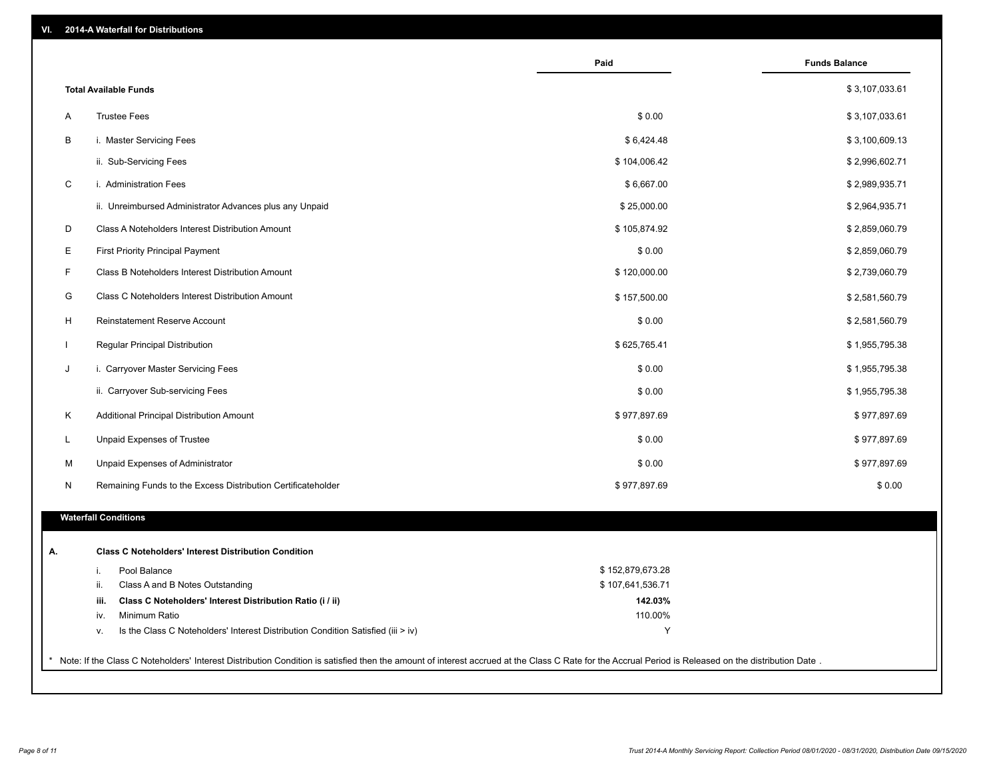|                              |                                                                                  | Paid             | <b>Funds Balance</b> |
|------------------------------|----------------------------------------------------------------------------------|------------------|----------------------|
| <b>Total Available Funds</b> |                                                                                  |                  | \$3,107,033.61       |
| <b>Trustee Fees</b><br>Α     |                                                                                  | \$0.00           | \$3,107,033.61       |
| В                            | i. Master Servicing Fees                                                         | \$6,424.48       | \$3,100,609.13       |
|                              | ii. Sub-Servicing Fees                                                           | \$104,006.42     | \$2,996,602.71       |
| $\mathsf C$                  | i. Administration Fees                                                           | \$6,667.00       | \$2,989,935.71       |
|                              | ii. Unreimbursed Administrator Advances plus any Unpaid                          | \$25,000.00      | \$2,964,935.71       |
| D                            | Class A Noteholders Interest Distribution Amount                                 | \$105,874.92     | \$2,859,060.79       |
| Е                            | First Priority Principal Payment                                                 | \$0.00           | \$2,859,060.79       |
| F                            | Class B Noteholders Interest Distribution Amount                                 | \$120,000.00     | \$2,739,060.79       |
| G                            | Class C Noteholders Interest Distribution Amount                                 | \$157,500.00     | \$2,581,560.79       |
| H                            | Reinstatement Reserve Account                                                    | \$0.00           | \$2,581,560.79       |
|                              | Regular Principal Distribution                                                   | \$625,765.41     | \$1,955,795.38       |
| J                            | i. Carryover Master Servicing Fees                                               | \$0.00           | \$1,955,795.38       |
|                              | ii. Carryover Sub-servicing Fees                                                 | \$0.00           | \$1,955,795.38       |
| Κ                            | Additional Principal Distribution Amount                                         | \$977,897.69     | \$977,897.69         |
| L.                           | Unpaid Expenses of Trustee                                                       | \$0.00           | \$977,897.69         |
|                              |                                                                                  |                  |                      |
| M                            | Unpaid Expenses of Administrator                                                 | \$0.00           | \$977,897.69         |
| N                            | Remaining Funds to the Excess Distribution Certificateholder                     | \$977,897.69     | \$0.00               |
| <b>Waterfall Conditions</b>  |                                                                                  |                  |                      |
|                              | <b>Class C Noteholders' Interest Distribution Condition</b>                      |                  |                      |
| i.                           | Pool Balance                                                                     | \$152,879,673.28 |                      |
| ii.                          | Class A and B Notes Outstanding                                                  | \$107,641,536.71 |                      |
| iii.                         | Class C Noteholders' Interest Distribution Ratio (i / ii)                        | 142.03%          |                      |
| iv.                          | Minimum Ratio                                                                    | 110.00%          |                      |
| ۷.                           | Is the Class C Noteholders' Interest Distribution Condition Satisfied (iii > iv) | Y                |                      |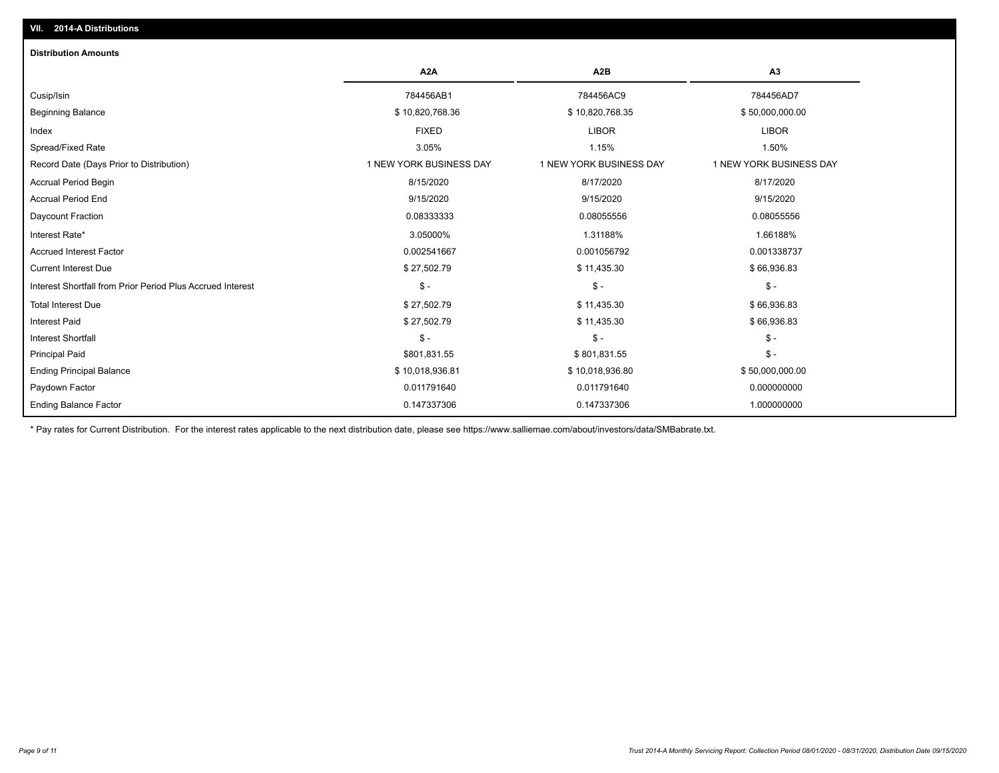| <b>Distribution Amounts</b>                                |                         |                         |                         |
|------------------------------------------------------------|-------------------------|-------------------------|-------------------------|
|                                                            | A <sub>2</sub> A        | A <sub>2</sub> B        | A3                      |
| Cusip/Isin                                                 | 784456AB1               | 784456AC9               | 784456AD7               |
| <b>Beginning Balance</b>                                   | \$10,820,768.36         | \$10,820,768.35         | \$50,000,000.00         |
| Index                                                      | <b>FIXED</b>            | <b>LIBOR</b>            | <b>LIBOR</b>            |
| Spread/Fixed Rate                                          | 3.05%                   | 1.15%                   | 1.50%                   |
| Record Date (Days Prior to Distribution)                   | 1 NEW YORK BUSINESS DAY | 1 NEW YORK BUSINESS DAY | 1 NEW YORK BUSINESS DAY |
| <b>Accrual Period Begin</b>                                | 8/15/2020               | 8/17/2020               | 8/17/2020               |
| <b>Accrual Period End</b>                                  | 9/15/2020               | 9/15/2020               | 9/15/2020               |
| Daycount Fraction                                          | 0.08333333              | 0.08055556              | 0.08055556              |
| Interest Rate*                                             | 3.05000%                | 1.31188%                | 1.66188%                |
| <b>Accrued Interest Factor</b>                             | 0.002541667             | 0.001056792             | 0.001338737             |
| <b>Current Interest Due</b>                                | \$27,502.79             | \$11,435.30             | \$66,936.83             |
| Interest Shortfall from Prior Period Plus Accrued Interest | $\frac{1}{2}$           | $\mathcal{S}$ -         | $\mathcal{S}$ -         |
| <b>Total Interest Due</b>                                  | \$27,502.79             | \$11,435.30             | \$66,936.83             |
| <b>Interest Paid</b>                                       | \$27,502.79             | \$11,435.30             | \$66,936.83             |
| <b>Interest Shortfall</b>                                  | $\mathsf{\$}$ -         | $\mathcal{S}$ -         | $\mathsf{\$}$ -         |
| <b>Principal Paid</b>                                      | \$801,831.55            | \$801,831.55            | $\mathsf{\$}$ -         |
| <b>Ending Principal Balance</b>                            | \$10,018,936.81         | \$10,018,936.80         | \$50,000,000.00         |
| Paydown Factor                                             | 0.011791640             | 0.011791640             | 0.000000000             |
| <b>Ending Balance Factor</b>                               | 0.147337306             | 0.147337306             | 1.000000000             |

\* Pay rates for Current Distribution. For the interest rates applicable to the next distribution date, please see https://www.salliemae.com/about/investors/data/SMBabrate.txt.

**VII. 2014-A Distributions**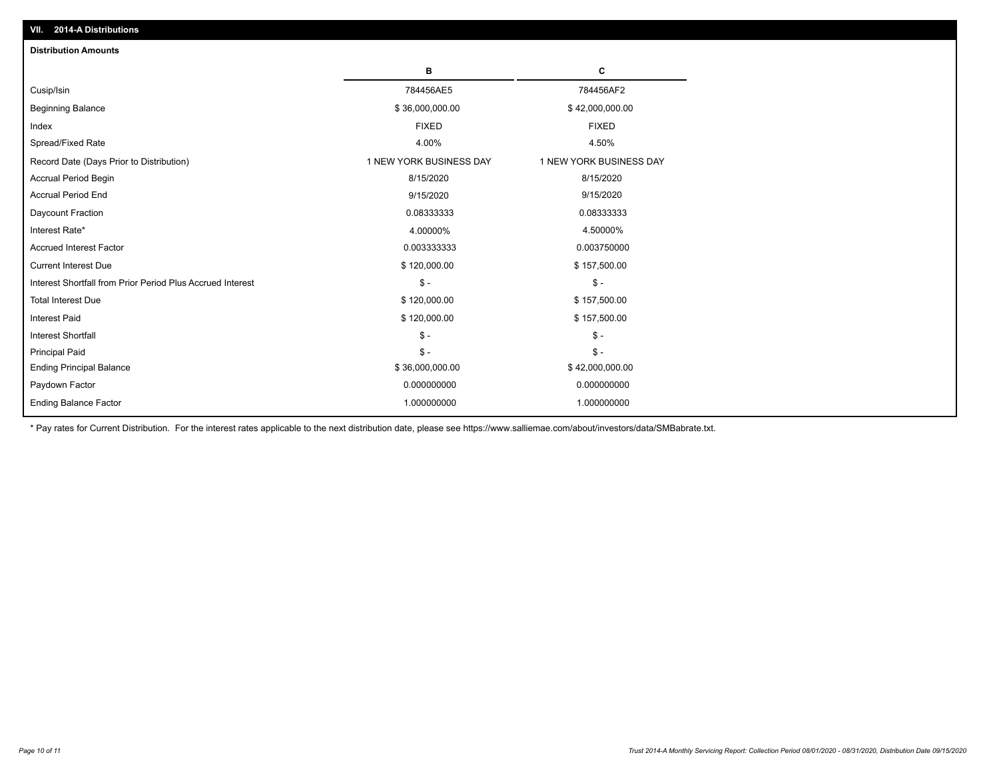| <b>Distribution Amounts</b>                                |                         |                         |
|------------------------------------------------------------|-------------------------|-------------------------|
|                                                            | в                       | C                       |
| Cusip/Isin                                                 | 784456AE5               | 784456AF2               |
| <b>Beginning Balance</b>                                   | \$36,000,000.00         | \$42,000,000.00         |
| Index                                                      | <b>FIXED</b>            | <b>FIXED</b>            |
| Spread/Fixed Rate                                          | 4.00%                   | 4.50%                   |
| Record Date (Days Prior to Distribution)                   | 1 NEW YORK BUSINESS DAY | 1 NEW YORK BUSINESS DAY |
| Accrual Period Begin                                       | 8/15/2020               | 8/15/2020               |
| <b>Accrual Period End</b>                                  | 9/15/2020               | 9/15/2020               |
| Daycount Fraction                                          | 0.08333333              | 0.08333333              |
| Interest Rate*                                             | 4.00000%                | 4.50000%                |
| <b>Accrued Interest Factor</b>                             | 0.003333333             | 0.003750000             |
| <b>Current Interest Due</b>                                | \$120,000.00            | \$157,500.00            |
| Interest Shortfall from Prior Period Plus Accrued Interest | $\mathsf{\$}$ -         | $\mathsf{\$}$ -         |
| <b>Total Interest Due</b>                                  | \$120,000.00            | \$157,500.00            |
| <b>Interest Paid</b>                                       | \$120,000.00            | \$157,500.00            |
| <b>Interest Shortfall</b>                                  | $\mathcal{S}$ -         | $\frac{1}{2}$           |
| <b>Principal Paid</b>                                      | $\mathsf{\$}$ -         | $$ -$                   |
| <b>Ending Principal Balance</b>                            | \$36,000,000.00         | \$42,000,000.00         |
| Paydown Factor                                             | 0.000000000             | 0.000000000             |
| <b>Ending Balance Factor</b>                               | 1.000000000             | 1.000000000             |

\* Pay rates for Current Distribution. For the interest rates applicable to the next distribution date, please see https://www.salliemae.com/about/investors/data/SMBabrate.txt.

**VII. 2014-A Distributions**